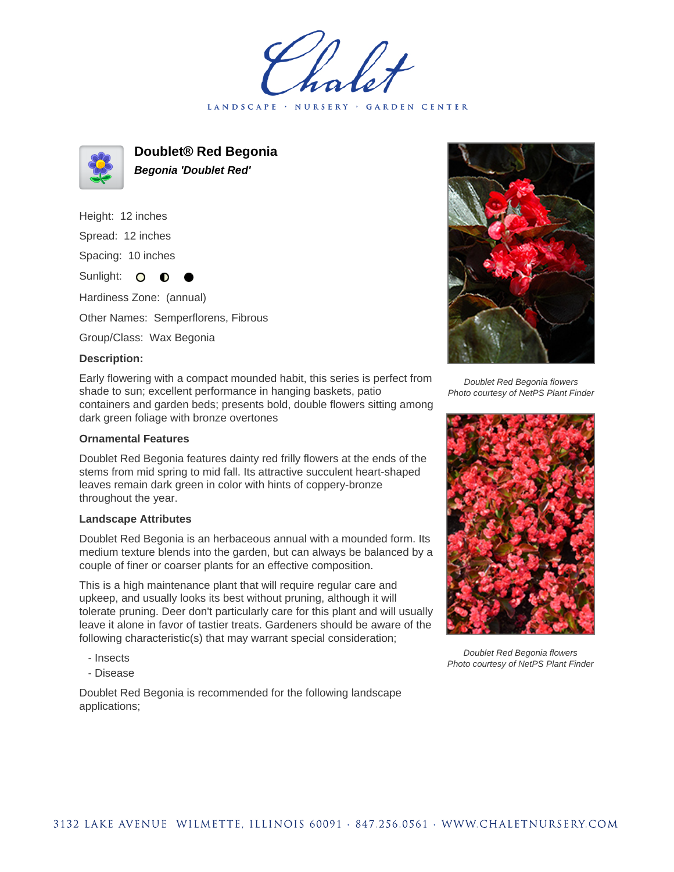LANDSCAPE · NURSERY · GARDEN CENTER



**Doublet® Red Begonia Begonia 'Doublet Red'**

Height: 12 inches

Spread: 12 inches

Spacing: 10 inches

Sunlight: O **O** 

Hardiness Zone: (annual)

Other Names: Semperflorens, Fibrous

Group/Class: Wax Begonia

## **Description:**

Early flowering with a compact mounded habit, this series is perfect from shade to sun; excellent performance in hanging baskets, patio containers and garden beds; presents bold, double flowers sitting among dark green foliage with bronze overtones

## **Ornamental Features**

Doublet Red Begonia features dainty red frilly flowers at the ends of the stems from mid spring to mid fall. Its attractive succulent heart-shaped leaves remain dark green in color with hints of coppery-bronze throughout the year.

## **Landscape Attributes**

Doublet Red Begonia is an herbaceous annual with a mounded form. Its medium texture blends into the garden, but can always be balanced by a couple of finer or coarser plants for an effective composition.

This is a high maintenance plant that will require regular care and upkeep, and usually looks its best without pruning, although it will tolerate pruning. Deer don't particularly care for this plant and will usually leave it alone in favor of tastier treats. Gardeners should be aware of the following characteristic(s) that may warrant special consideration;

- Insects
- Disease

Doublet Red Begonia is recommended for the following landscape applications;



Doublet Red Begonia flowers Photo courtesy of NetPS Plant Finder



Doublet Red Begonia flowers Photo courtesy of NetPS Plant Finder